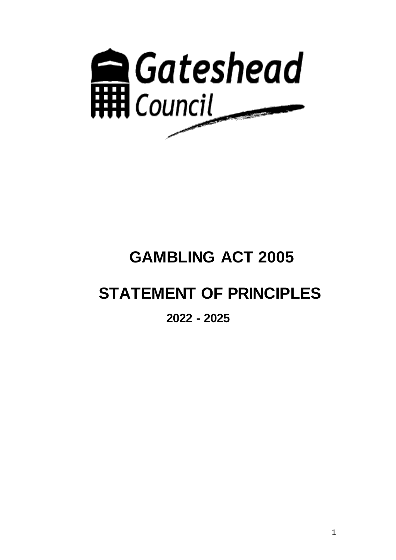

# **GAMBLING ACT 2005**

# **STATEMENT OF PRINCIPLES**

# **2022 - 2025**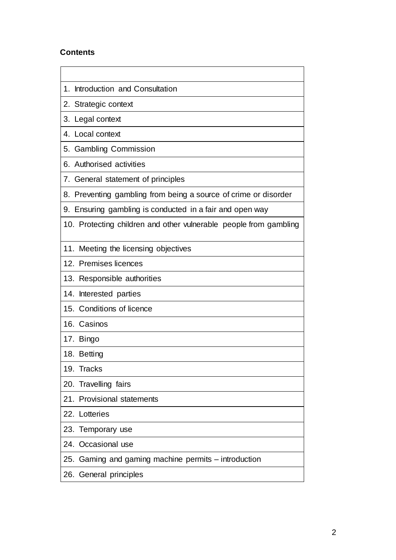# **Contents**

| 1. Introduction and Consultation                                  |
|-------------------------------------------------------------------|
| 2. Strategic context                                              |
| 3. Legal context                                                  |
| 4. Local context                                                  |
| 5. Gambling Commission                                            |
| 6. Authorised activities                                          |
| 7. General statement of principles                                |
| 8. Preventing gambling from being a source of crime or disorder   |
| 9. Ensuring gambling is conducted in a fair and open way          |
| 10. Protecting children and other vulnerable people from gambling |
| 11. Meeting the licensing objectives                              |
| 12. Premises licences                                             |
| 13. Responsible authorities                                       |
| 14. Interested parties                                            |
| 15. Conditions of licence                                         |
| 16. Casinos                                                       |
| 17. Bingo                                                         |
| 18. Betting                                                       |
| 19.<br>Tracks                                                     |
| 20. Travelling fairs                                              |
| 21. Provisional statements                                        |
| 22. Lotteries                                                     |
| 23. Temporary use                                                 |
| 24. Occasional use                                                |
| 25. Gaming and gaming machine permits – introduction              |
| 26. General principles                                            |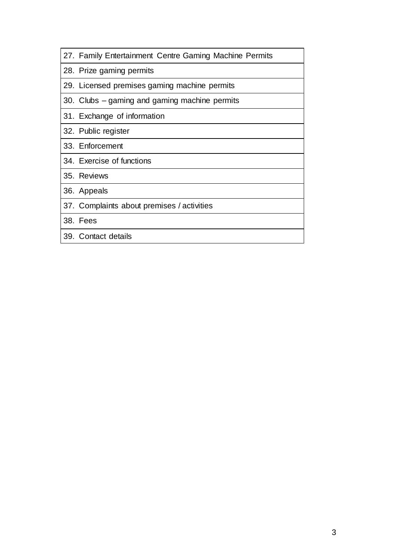| 27. Family Entertainment Centre Gaming Machine Permits |
|--------------------------------------------------------|
| 28. Prize gaming permits                               |
| 29. Licensed premises gaming machine permits           |
| 30. Clubs – gaming and gaming machine permits          |
| 31. Exchange of information                            |
| 32. Public register                                    |
| 33. Enforcement                                        |
| 34. Exercise of functions                              |
| 35. Reviews                                            |
| 36. Appeals                                            |
| 37. Complaints about premises / activities             |
| 38. Fees                                               |
| 39. Contact details                                    |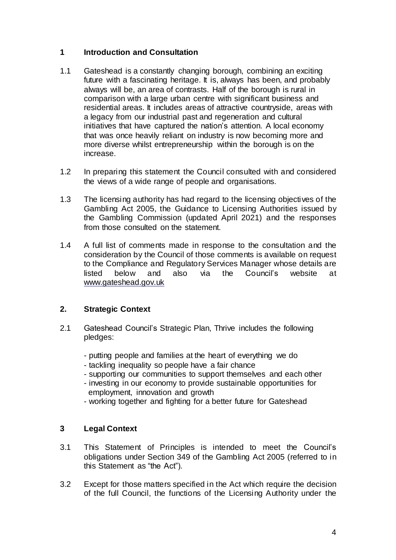# **1 Introduction and Consultation**

- 1.1 Gateshead is a constantly changing borough, combining an exciting future with a fascinating heritage. It is, always has been, and probably always will be, an area of contrasts. Half of the borough is rural in comparison with a large urban centre with significant business and residential areas. It includes areas of attractive countryside, areas with a legacy from our industrial past and regeneration and cultural initiatives that have captured the nation's attention. A local economy that was once heavily reliant on industry is now becoming more and more diverse whilst entrepreneurship within the borough is on the increase.
- 1.2 In preparing this statement the Council consulted with and considered the views of a wide range of people and organisations.
- 1.3 The licensing authority has had regard to the licensing objectives of the Gambling Act 2005, the Guidance to Licensing Authorities issued by the Gambling Commission (updated April 2021) and the responses from those consulted on the statement.
- 1.4 A full list of comments made in response to the consultation and the consideration by the Council of those comments is available on request to the Compliance and Regulatory Services Manager whose details are listed below and also via the Council's website at [www.gateshead.gov.uk](http://www.gateshead.gov.uk/)

# **2. Strategic Context**

- 2.1 Gateshead Council's Strategic Plan, Thrive includes the following pledges:
	- putting people and families at the heart of everything we do
	- tackling inequality so people have a fair chance
	- supporting our communities to support themselves and each other
	- investing in our economy to provide sustainable opportunities for employment, innovation and growth
	- working together and fighting for a better future for Gateshead

# **3 Legal Context**

- 3.1 This Statement of Principles is intended to meet the Council's obligations under Section 349 of the Gambling Act 2005 (referred to in this Statement as "the Act").
- 3.2 Except for those matters specified in the Act which require the decision of the full Council, the functions of the Licensing Authority under the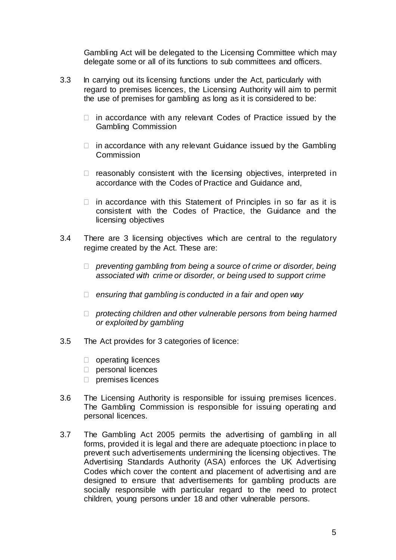Gambling Act will be delegated to the Licensing Committee which may delegate some or all of its functions to sub committees and officers.

- 3.3 In carrying out its licensing functions under the Act, particularly with regard to premises licences, the Licensing Authority will aim to permit the use of premises for gambling as long as it is considered to be:
	- $\Box$  in accordance with any relevant Codes of Practice issued by the Gambling Commission
	- $\Box$  in accordance with any relevant Guidance issued by the Gambling Commission
	- $\Box$  reasonably consistent with the licensing objectives, interpreted in accordance with the Codes of Practice and Guidance and,
	- $\Box$  in accordance with this Statement of Principles in so far as it is consistent with the Codes of Practice, the Guidance and the licensing objectives
- 3.4 There are 3 licensing objectives which are central to the regulatory regime created by the Act. These are:
	- *preventing gambling from being a source of crime or disorder, being associated with crime or disorder, or being used to support crime*
	- *ensuring that gambling is conducted in a fair and open way*
	- *protecting children and other vulnerable persons from being harmed or exploited by gambling*
- 3.5 The Act provides for 3 categories of licence:
	- $\Box$  operating licences
	- personal licences
	- $\Box$  premises licences
- 3.6 The Licensing Authority is responsible for issuing premises licences. The Gambling Commission is responsible for issuing operating and personal licences.
- 3.7 The Gambling Act 2005 permits the advertising of gambling in all forms, provided it is legal and there are adequate ptoectionc in place to prevent such advertisements undermining the licensing objectives. The Advertising Standards Authority (ASA) enforces the UK Advertising Codes which cover the content and placement of advertising and are designed to ensure that advertisements for gambling products are socially responsible with particular regard to the need to protect children, young persons under 18 and other vulnerable persons.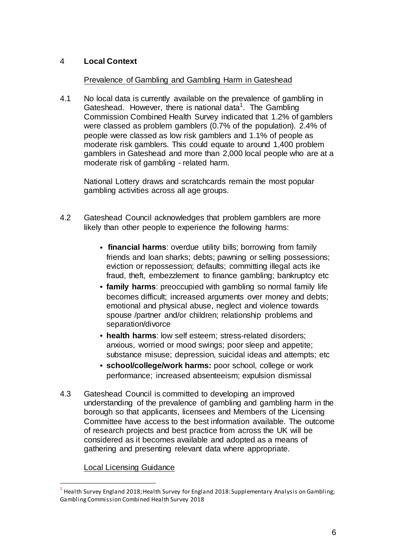# 4 **Local Context**

#### Prevalence of Gambling and Gambling Harm in Gateshead

4.1 No local data is currently available on the prevalence of gambling in Gateshead. However, there is national data<sup>1</sup>. The Gambling Commission Combined Health Survey indicated that 1.2% of gamblers were classed as problem gamblers (0.7% of the population). 2.4% of people were classed as low risk gamblers and 1.1% of people as moderate risk gamblers. This could equate to around 1,400 problem gamblers in Gateshead and more than 2,000 local people who are at a moderate risk of gambling - related harm.

National Lottery draws and scratchcards remain the most popular gambling activities across all age groups.

- 4.2 Gateshead Council acknowledges that problem gamblers are more likely than other people to experience the following harms:
	- **financial harms**: overdue utility bills; borrowing from family friends and loan sharks; debts; pawning or selling possessions; eviction or repossession; defaults; committing illegal acts ike fraud, theft, embezzlement to finance gambling; bankruptcy etc
	- **family harms**: preoccupied with gambling so normal family life becomes difficult; increased arguments over money and debts; emotional and physical abuse, neglect and violence towards spouse /partner and/or children; relationship problems and separation/divorce
	- **health harms**: low self esteem; stress-related disorders; anxious, worried or mood swings; poor sleep and appetite; substance misuse; depression, suicidal ideas and attempts; etc
	- **school/college/work harms:** poor school, college or work performance; increased absenteeism; expulsion dismissal
- 4.3 Gateshead Council is committed to developing an improved understanding of the prevalence of gambling and gambling harm in the borough so that applicants, licensees and Members of the Licensing Committee have access to the best information available. The outcome of research projects and best practice from across the UK will be considered as it becomes available and adopted as a means of gathering and presenting relevant data where appropriate.

#### Local Licensing Guidance

l

<sup>1</sup> Health Survey England 2018; Health Survey for England 2018: Supplementary Analysis on Gambling; Gambling Commission Combined Health Survey 2018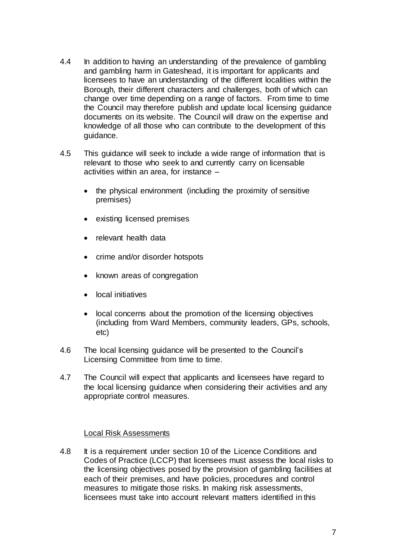- 4.4 In addition to having an understanding of the prevalence of gambling and gambling harm in Gateshead, it is important for applicants and licensees to have an understanding of the different localities within the Borough, their different characters and challenges, both of which can change over time depending on a range of factors. From time to time the Council may therefore publish and update local licensing guidance documents on its website. The Council will draw on the expertise and knowledge of all those who can contribute to the development of this guidance.
- 4.5 This guidance will seek to include a wide range of information that is relevant to those who seek to and currently carry on licensable activities within an area, for instance –
	- the physical environment (including the proximity of sensitive premises)
	- existing licensed premises
	- relevant health data
	- crime and/or disorder hotspots
	- known areas of congregation
	- local initiatives
	- local concerns about the promotion of the licensing objectives (including from Ward Members, community leaders, GPs, schools, etc)
- 4.6 The local licensing guidance will be presented to the Council's Licensing Committee from time to time.
- 4.7 The Council will expect that applicants and licensees have regard to the local licensing guidance when considering their activities and any appropriate control measures.

#### Local Risk Assessments

4.8 It is a requirement under section 10 of the Licence Conditions and Codes of Practice (LCCP) that licensees must assess the local risks to the licensing objectives posed by the provision of gambling facilities at each of their premises, and have policies, procedures and control measures to mitigate those risks. In making risk assessments, licensees must take into account relevant matters identified in this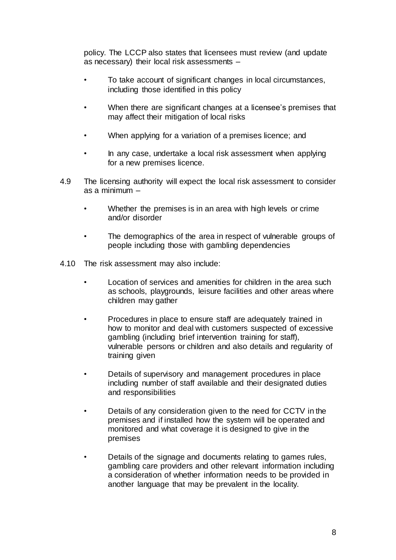policy. The LCCP also states that licensees must review (and update as necessary) their local risk assessments –

- To take account of significant changes in local circumstances, including those identified in this policy
- When there are significant changes at a licensee's premises that may affect their mitigation of local risks
- When applying for a variation of a premises licence; and
- In any case, undertake a local risk assessment when applying for a new premises licence.
- 4.9 The licensing authority will expect the local risk assessment to consider as a minimum –
	- Whether the premises is in an area with high levels or crime and/or disorder
	- The demographics of the area in respect of vulnerable groups of people including those with gambling dependencies
- 4.10 The risk assessment may also include:
	- Location of services and amenities for children in the area such as schools, playgrounds, leisure facilities and other areas where children may gather
	- Procedures in place to ensure staff are adequately trained in how to monitor and deal with customers suspected of excessive gambling (including brief intervention training for staff), vulnerable persons or children and also details and regularity of training given
	- Details of supervisory and management procedures in place including number of staff available and their designated duties and responsibilities
	- Details of any consideration given to the need for CCTV in the premises and if installed how the system will be operated and monitored and what coverage it is designed to give in the premises
	- Details of the signage and documents relating to games rules, gambling care providers and other relevant information including a consideration of whether information needs to be provided in another language that may be prevalent in the locality.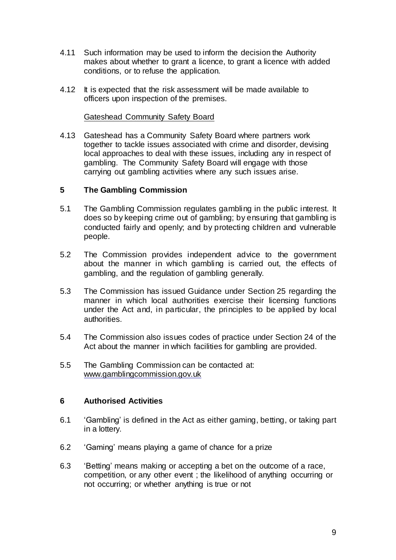- 4.11 Such information may be used to inform the decision the Authority makes about whether to grant a licence, to grant a licence with added conditions, or to refuse the application.
- 4.12 It is expected that the risk assessment will be made available to officers upon inspection of the premises.

#### Gateshead Community Safety Board

4.13 Gateshead has a Community Safety Board where partners work together to tackle issues associated with crime and disorder, devising local approaches to deal with these issues, including any in respect of gambling. The Community Safety Board will engage with those carrying out gambling activities where any such issues arise.

#### **5 The Gambling Commission**

- 5.1 The Gambling Commission regulates gambling in the public interest. It does so by keeping crime out of gambling; by ensuring that gambling is conducted fairly and openly; and by protecting children and vulnerable people.
- 5.2 The Commission provides independent advice to the government about the manner in which gambling is carried out, the effects of gambling, and the regulation of gambling generally.
- 5.3 The Commission has issued Guidance under Section 25 regarding the manner in which local authorities exercise their licensing functions under the Act and, in particular, the principles to be applied by local authorities.
- 5.4 The Commission also issues codes of practice under Section 24 of the Act about the manner in which facilities for gambling are provided.
- 5.5 The Gambling Commission can be contacted at: [www.gamblingcommission.gov.uk](http://www.gamblingcommission.gov.uk/)

#### **6 Authorised Activities**

- 6.1 'Gambling' is defined in the Act as either gaming, betting, or taking part in a lottery.
- 6.2 'Gaming' means playing a game of chance for a prize
- 6.3 'Betting' means making or accepting a bet on the outcome of a race, competition, or any other event ; the likelihood of anything occurring or not occurring; or whether anything is true or not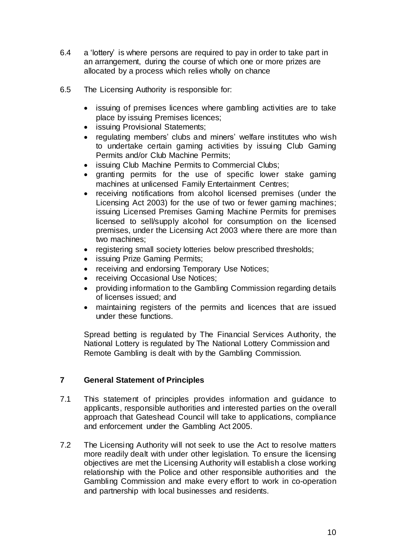- 6.4 a 'lottery' is where persons are required to pay in order to take part in an arrangement, during the course of which one or more prizes are allocated by a process which relies wholly on chance
- 6.5 The Licensing Authority is responsible for:
	- issuing of premises licences where gambling activities are to take place by issuing Premises licences;
	- issuing Provisional Statements;
	- regulating members' clubs and miners' welfare institutes who wish to undertake certain gaming activities by issuing Club Gaming Permits and/or Club Machine Permits;
	- issuing Club Machine Permits to Commercial Clubs;
	- granting permits for the use of specific lower stake gaming machines at unlicensed Family Entertainment Centres;
	- receiving notifications from alcohol licensed premises (under the Licensing Act 2003) for the use of two or fewer gaming machines; issuing Licensed Premises Gaming Machine Permits for premises licensed to sell/supply alcohol for consumption on the licensed premises, under the Licensing Act 2003 where there are more than two machines;
	- registering small society lotteries below prescribed thresholds;
	- issuing Prize Gaming Permits;
	- receiving and endorsing Temporary Use Notices;
	- receiving Occasional Use Notices;
	- providing information to the Gambling Commission regarding details of licenses issued; and
	- maintaining registers of the permits and licences that are issued under these functions.

Spread betting is regulated by The Financial Services Authority, the National Lottery is regulated by The National Lottery Commission and Remote Gambling is dealt with by the Gambling Commission.

# **7 General Statement of Principles**

- 7.1 This statement of principles provides information and guidance to applicants, responsible authorities and interested parties on the overall approach that Gateshead Council will take to applications, compliance and enforcement under the Gambling Act 2005.
- 7.2 The Licensing Authority will not seek to use the Act to resolve matters more readily dealt with under other legislation. To ensure the licensing objectives are met the Licensing Authority will establish a close working relationship with the Police and other responsible authorities and the Gambling Commission and make every effort to work in co-operation and partnership with local businesses and residents.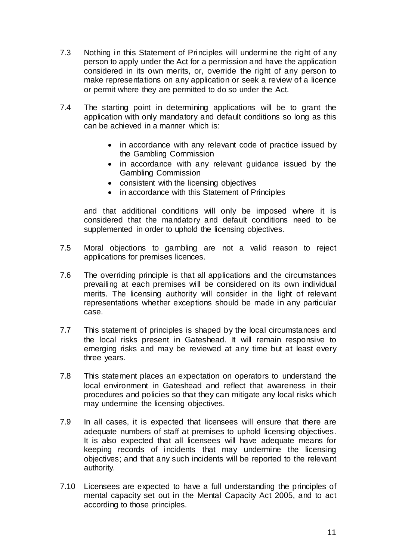- 7.3 Nothing in this Statement of Principles will undermine the right of any person to apply under the Act for a permission and have the application considered in its own merits, or, override the right of any person to make representations on any application or seek a review of a licence or permit where they are permitted to do so under the Act.
- 7.4 The starting point in determining applications will be to grant the application with only mandatory and default conditions so long as this can be achieved in a manner which is:
	- in accordance with any relevant code of practice issued by the Gambling Commission
	- in accordance with any relevant quidance issued by the Gambling Commission
	- consistent with the licensing objectives
	- in accordance with this Statement of Principles

and that additional conditions will only be imposed where it is considered that the mandatory and default conditions need to be supplemented in order to uphold the licensing objectives.

- 7.5 Moral objections to gambling are not a valid reason to reject applications for premises licences.
- 7.6 The overriding principle is that all applications and the circumstances prevailing at each premises will be considered on its own individual merits. The licensing authority will consider in the light of relevant representations whether exceptions should be made in any particular case.
- 7.7 This statement of principles is shaped by the local circumstances and the local risks present in Gateshead. It will remain responsive to emerging risks and may be reviewed at any time but at least every three years.
- 7.8 This statement places an expectation on operators to understand the local environment in Gateshead and reflect that awareness in their procedures and policies so that they can mitigate any local risks which may undermine the licensing objectives.
- 7.9 In all cases, it is expected that licensees will ensure that there are adequate numbers of staff at premises to uphold licensing objectives. It is also expected that all licensees will have adequate means for keeping records of incidents that may undermine the licensing objectives; and that any such incidents will be reported to the relevant authority.
- 7.10 Licensees are expected to have a full understanding the principles of mental capacity set out in the Mental Capacity Act 2005, and to act according to those principles.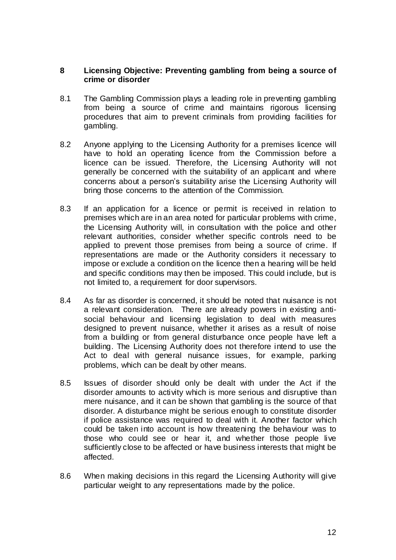#### **8 Licensing Objective: Preventing gambling from being a source of crime or disorder**

- 8.1 The Gambling Commission plays a leading role in preventing gambling from being a source of crime and maintains rigorous licensing procedures that aim to prevent criminals from providing facilities for gambling.
- 8.2 Anyone applying to the Licensing Authority for a premises licence will have to hold an operating licence from the Commission before a licence can be issued. Therefore, the Licensing Authority will not generally be concerned with the suitability of an applicant and where concerns about a person's suitability arise the Licensing Authority will bring those concerns to the attention of the Commission.
- 8.3 If an application for a licence or permit is received in relation to premises which are in an area noted for particular problems with crime, the Licensing Authority will, in consultation with the police and other relevant authorities, consider whether specific controls need to be applied to prevent those premises from being a source of crime. If representations are made or the Authority considers it necessary to impose or exclude a condition on the licence then a hearing will be held and specific conditions may then be imposed. This could include, but is not limited to, a requirement for door supervisors.
- 8.4 As far as disorder is concerned, it should be noted that nuisance is not a relevant consideration. There are already powers in existing antisocial behaviour and licensing legislation to deal with measures designed to prevent nuisance, whether it arises as a result of noise from a building or from general disturbance once people have left a building. The Licensing Authority does not therefore intend to use the Act to deal with general nuisance issues, for example, parking problems, which can be dealt by other means.
- 8.5 Issues of disorder should only be dealt with under the Act if the disorder amounts to activity which is more serious and disruptive than mere nuisance, and it can be shown that gambling is the source of that disorder. A disturbance might be serious enough to constitute disorder if police assistance was required to deal with it. Another factor which could be taken into account is how threatening the behaviour was to those who could see or hear it, and whether those people live sufficiently close to be affected or have business interests that might be affected.
- 8.6 When making decisions in this regard the Licensing Authority will give particular weight to any representations made by the police.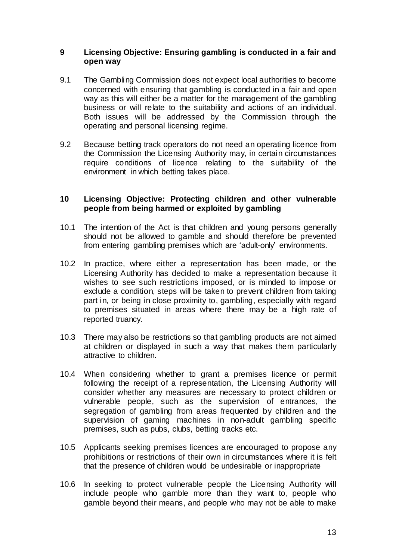#### **9 Licensing Objective: Ensuring gambling is conducted in a fair and open way**

- 9.1 The Gambling Commission does not expect local authorities to become concerned with ensuring that gambling is conducted in a fair and open way as this will either be a matter for the management of the gambling business or will relate to the suitability and actions of an individual. Both issues will be addressed by the Commission through the operating and personal licensing regime.
- 9.2 Because betting track operators do not need an operating licence from the Commission the Licensing Authority may, in certain circumstances require conditions of licence relating to the suitability of the environment in which betting takes place.

#### **10 Licensing Objective: Protecting children and other vulnerable people from being harmed or exploited by gambling**

- 10.1 The intention of the Act is that children and young persons generally should not be allowed to gamble and should therefore be prevented from entering gambling premises which are 'adult-only' environments.
- 10.2 In practice, where either a representation has been made, or the Licensing Authority has decided to make a representation because it wishes to see such restrictions imposed, or is minded to impose or exclude a condition, steps will be taken to prevent children from taking part in, or being in close proximity to, gambling, especially with regard to premises situated in areas where there may be a high rate of reported truancy.
- 10.3 There may also be restrictions so that gambling products are not aimed at children or displayed in such a way that makes them particularly attractive to children.
- 10.4 When considering whether to grant a premises licence or permit following the receipt of a representation, the Licensing Authority will consider whether any measures are necessary to protect children or vulnerable people, such as the supervision of entrances, the segregation of gambling from areas frequented by children and the supervision of gaming machines in non-adult gambling specific premises, such as pubs, clubs, betting tracks etc.
- 10.5 Applicants seeking premises licences are encouraged to propose any prohibitions or restrictions of their own in circumstances where it is felt that the presence of children would be undesirable or inappropriate
- 10.6 In seeking to protect vulnerable people the Licensing Authority will include people who gamble more than they want to, people who gamble beyond their means, and people who may not be able to make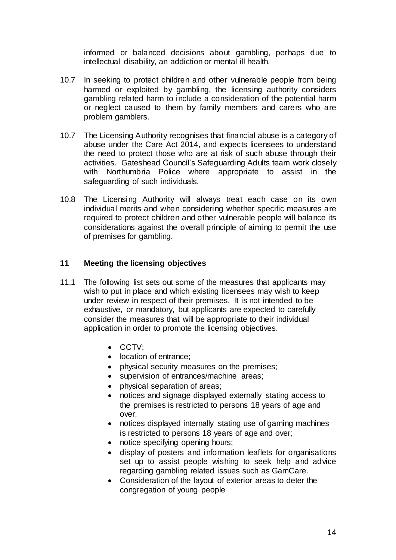informed or balanced decisions about gambling, perhaps due to intellectual disability, an addiction or mental ill health.

- 10.7 In seeking to protect children and other vulnerable people from being harmed or exploited by gambling, the licensing authority considers gambling related harm to include a consideration of the potential harm or neglect caused to them by family members and carers who are problem gamblers.
- 10.7 The Licensing Authority recognises that financial abuse is a category of abuse under the Care Act 2014, and expects licensees to understand the need to protect those who are at risk of such abuse through their activities. Gateshead Council's Safeguarding Adults team work closely with Northumbria Police where appropriate to assist in the safeguarding of such individuals.
- 10.8 The Licensing Authority will always treat each case on its own individual merits and when considering whether specific measures are required to protect children and other vulnerable people will balance its considerations against the overall principle of aiming to permit the use of premises for gambling.

# **11 Meeting the licensing objectives**

- 11.1 The following list sets out some of the measures that applicants may wish to put in place and which existing licensees may wish to keep under review in respect of their premises. It is not intended to be exhaustive, or mandatory, but applicants are expected to carefully consider the measures that will be appropriate to their individual application in order to promote the licensing objectives.
	- CCTV:
	- location of entrance;
	- physical security measures on the premises;
	- supervision of entrances/machine areas;
	- physical separation of areas;
	- notices and signage displayed externally stating access to the premises is restricted to persons 18 years of age and over;
	- notices displayed internally stating use of gaming machines is restricted to persons 18 years of age and over;
	- notice specifying opening hours;
	- display of posters and information leaflets for organisations set up to assist people wishing to seek help and advice regarding gambling related issues such as GamCare.
	- Consideration of the layout of exterior areas to deter the congregation of young people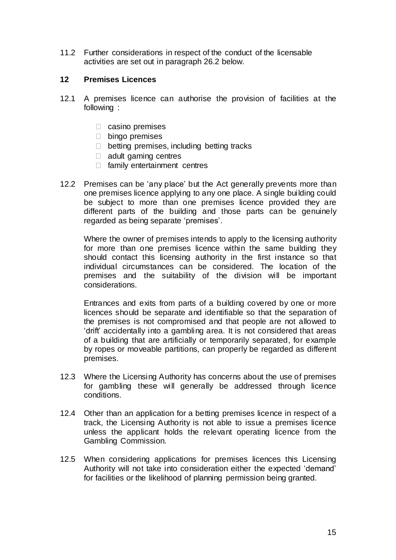11.2 Further considerations in respect of the conduct of the licensable activities are set out in paragraph 26.2 below.

# **12 Premises Licences**

- 12.1 A premises licence can authorise the provision of facilities at the following :
	- $\Box$  casino premises
	- D bingo premises
	- $\Box$  betting premises, including betting tracks
	- $\Box$  adult gaming centres
	- $\Box$  family entertainment centres
- 12.2 Premises can be 'any place' but the Act generally prevents more than one premises licence applying to any one place. A single building could be subject to more than one premises licence provided they are different parts of the building and those parts can be genuinely regarded as being separate 'premises'.

Where the owner of premises intends to apply to the licensing authority for more than one premises licence within the same building they should contact this licensing authority in the first instance so that individual circumstances can be considered. The location of the premises and the suitability of the division will be important considerations.

Entrances and exits from parts of a building covered by one or more licences should be separate and identifiable so that the separation of the premises is not compromised and that people are not allowed to 'drift' accidentally into a gambling area. It is not considered that areas of a building that are artificially or temporarily separated, for example by ropes or moveable partitions, can properly be regarded as different premises.

- 12.3 Where the Licensing Authority has concerns about the use of premises for gambling these will generally be addressed through licence conditions.
- 12.4 Other than an application for a betting premises licence in respect of a track, the Licensing Authority is not able to issue a premises licence unless the applicant holds the relevant operating licence from the Gambling Commission.
- 12.5 When considering applications for premises licences this Licensing Authority will not take into consideration either the expected 'demand' for facilities or the likelihood of planning permission being granted.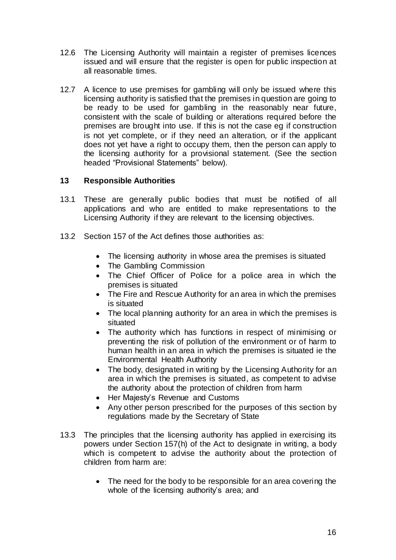- 12.6 The Licensing Authority will maintain a register of premises licences issued and will ensure that the register is open for public inspection at all reasonable times.
- 12.7 A licence to use premises for gambling will only be issued where this licensing authority is satisfied that the premises in question are going to be ready to be used for gambling in the reasonably near future, consistent with the scale of building or alterations required before the premises are brought into use. If this is not the case eg if construction is not yet complete, or if they need an alteration, or if the applicant does not yet have a right to occupy them, then the person can apply to the licensing authority for a provisional statement. (See the section headed "Provisional Statements" below).

# **13 Responsible Authorities**

- 13.1 These are generally public bodies that must be notified of all applications and who are entitled to make representations to the Licensing Authority if they are relevant to the licensing objectives.
- 13.2 Section 157 of the Act defines those authorities as:
	- The licensing authority in whose area the premises is situated
	- The Gambling Commission
	- The Chief Officer of Police for a police area in which the premises is situated
	- The Fire and Rescue Authority for an area in which the premises is situated
	- The local planning authority for an area in which the premises is situated
	- The authority which has functions in respect of minimising or preventing the risk of pollution of the environment or of harm to human health in an area in which the premises is situated ie the Environmental Health Authority
	- The body, designated in writing by the Licensing Authority for an area in which the premises is situated, as competent to advise the authority about the protection of children from harm
	- Her Majesty's Revenue and Customs
	- Any other person prescribed for the purposes of this section by regulations made by the Secretary of State
- 13.3 The principles that the licensing authority has applied in exercising its powers under Section 157(h) of the Act to designate in writing, a body which is competent to advise the authority about the protection of children from harm are:
	- The need for the body to be responsible for an area covering the whole of the licensing authority's area; and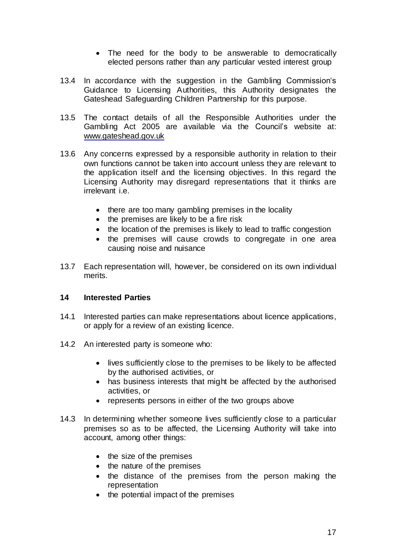- The need for the body to be answerable to democratically elected persons rather than any particular vested interest group
- 13.4 In accordance with the suggestion in the Gambling Commission's Guidance to Licensing Authorities, this Authority designates the Gateshead Safeguarding Children Partnership for this purpose.
- 13.5 The contact details of all the Responsible Authorities under the Gambling Act 2005 are available via the Council's website at: [www.gateshead.gov.uk](http://www.gateshead.gov.uk/)
- 13.6 Any concerns expressed by a responsible authority in relation to their own functions cannot be taken into account unless they are relevant to the application itself and the licensing objectives. In this regard the Licensing Authority may disregard representations that it thinks are irrelevant i.e.
	- there are too many gambling premises in the locality
	- the premises are likely to be a fire risk
	- the location of the premises is likely to lead to traffic congestion
	- the premises will cause crowds to congregate in one area causing noise and nuisance
- 13.7 Each representation will, however, be considered on its own individual merits.

# **14 Interested Parties**

- 14.1 Interested parties can make representations about licence applications, or apply for a review of an existing licence.
- 14.2 An interested party is someone who:
	- lives sufficiently close to the premises to be likely to be affected by the authorised activities, or
	- has business interests that might be affected by the authorised activities, or
	- represents persons in either of the two groups above
- 14.3 In determining whether someone lives sufficiently close to a particular premises so as to be affected, the Licensing Authority will take into account, among other things:
	- $\bullet$  the size of the premises
	- the nature of the premises
	- the distance of the premises from the person making the representation
	- the potential impact of the premises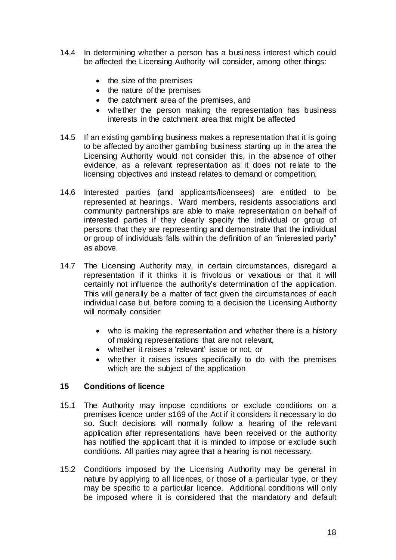- 14.4 In determining whether a person has a business interest which could be affected the Licensing Authority will consider, among other things:
	- $\bullet$  the size of the premises
	- $\bullet$  the nature of the premises
	- the catchment area of the premises, and
	- whether the person making the representation has business interests in the catchment area that might be affected
- 14.5 If an existing gambling business makes a representation that it is going to be affected by another gambling business starting up in the area the Licensing Authority would not consider this, in the absence of other evidence, as a relevant representation as it does not relate to the licensing objectives and instead relates to demand or competition.
- 14.6 Interested parties (and applicants/licensees) are entitled to be represented at hearings. Ward members, residents associations and community partnerships are able to make representation on behalf of interested parties if they clearly specify the individual or group of persons that they are representing and demonstrate that the individual or group of individuals falls within the definition of an "interested party" as above.
- 14.7 The Licensing Authority may, in certain circumstances, disregard a representation if it thinks it is frivolous or vexatious or that it will certainly not influence the authority's determination of the application. This will generally be a matter of fact given the circumstances of each individual case but, before coming to a decision the Licensing Authority will normally consider:
	- who is making the representation and whether there is a history of making representations that are not relevant,
	- whether it raises a 'relevant' issue or not, or
	- whether it raises issues specifically to do with the premises which are the subject of the application

#### **15 Conditions of licence**

- 15.1 The Authority may impose conditions or exclude conditions on a premises licence under s169 of the Act if it considers it necessary to do so. Such decisions will normally follow a hearing of the relevant application after representations have been received or the authority has notified the applicant that it is minded to impose or exclude such conditions. All parties may agree that a hearing is not necessary.
- 15.2 Conditions imposed by the Licensing Authority may be general in nature by applying to all licences, or those of a particular type, or they may be specific to a particular licence. Additional conditions will only be imposed where it is considered that the mandatory and default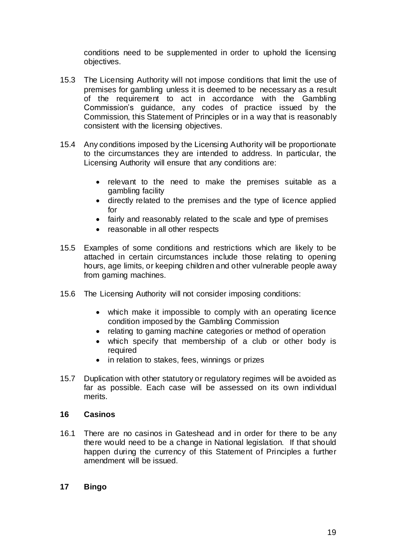conditions need to be supplemented in order to uphold the licensing objectives.

- 15.3 The Licensing Authority will not impose conditions that limit the use of premises for gambling unless it is deemed to be necessary as a result of the requirement to act in accordance with the Gambling Commission's guidance, any codes of practice issued by the Commission, this Statement of Principles or in a way that is reasonably consistent with the licensing objectives.
- 15.4 Any conditions imposed by the Licensing Authority will be proportionate to the circumstances they are intended to address. In particular, the Licensing Authority will ensure that any conditions are:
	- relevant to the need to make the premises suitable as a gambling facility
	- directly related to the premises and the type of licence applied for
	- fairly and reasonably related to the scale and type of premises
	- reasonable in all other respects
- 15.5 Examples of some conditions and restrictions which are likely to be attached in certain circumstances include those relating to opening hours, age limits, or keeping children and other vulnerable people away from gaming machines.
- 15.6 The Licensing Authority will not consider imposing conditions:
	- which make it impossible to comply with an operating licence condition imposed by the Gambling Commission
	- relating to gaming machine categories or method of operation
	- which specify that membership of a club or other body is required
	- in relation to stakes, fees, winnings or prizes
- 15.7 Duplication with other statutory or regulatory regimes will be avoided as far as possible. Each case will be assessed on its own individual merits.

#### **16 Casinos**

16.1 There are no casinos in Gateshead and in order for there to be any there would need to be a change in National legislation. If that should happen during the currency of this Statement of Principles a further amendment will be issued.

# **17 Bingo**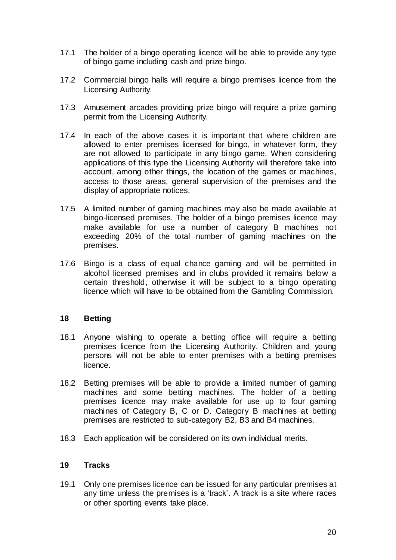- 17.1 The holder of a bingo operating licence will be able to provide any type of bingo game including cash and prize bingo.
- 17.2 Commercial bingo halls will require a bingo premises licence from the Licensing Authority.
- 17.3 Amusement arcades providing prize bingo will require a prize gaming permit from the Licensing Authority.
- 17.4 In each of the above cases it is important that where children are allowed to enter premises licensed for bingo, in whatever form, they are not allowed to participate in any bingo game. When considering applications of this type the Licensing Authority will therefore take into account, among other things, the location of the games or machines, access to those areas, general supervision of the premises and the display of appropriate notices.
- 17.5 A limited number of gaming machines may also be made available at bingo-licensed premises. The holder of a bingo premises licence may make available for use a number of category B machines not exceeding 20% of the total number of gaming machines on the premises.
- 17.6 Bingo is a class of equal chance gaming and will be permitted in alcohol licensed premises and in clubs provided it remains below a certain threshold, otherwise it will be subject to a bingo operating licence which will have to be obtained from the Gambling Commission.

#### **18 Betting**

- 18.1 Anyone wishing to operate a betting office will require a betting premises licence from the Licensing Authority. Children and young persons will not be able to enter premises with a betting premises licence.
- 18.2 Betting premises will be able to provide a limited number of gaming machines and some betting machines. The holder of a betting premises licence may make available for use up to four gaming machines of Category B, C or D. Category B machines at betting premises are restricted to sub-category B2, B3 and B4 machines.
- 18.3 Each application will be considered on its own individual merits.

#### **19 Tracks**

19.1 Only one premises licence can be issued for any particular premises at any time unless the premises is a 'track'. A track is a site where races or other sporting events take place.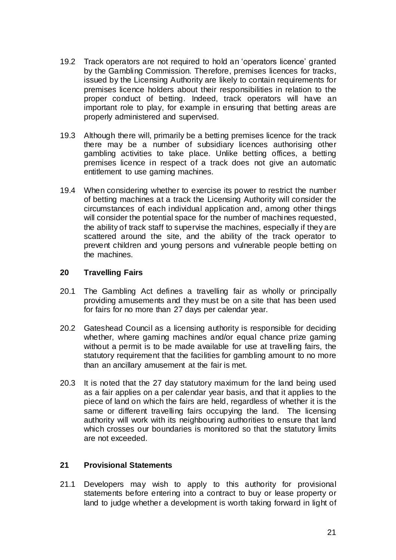- 19.2 Track operators are not required to hold an 'operators licence' granted by the Gambling Commission. Therefore, premises licences for tracks, issued by the Licensing Authority are likely to contain requirements for premises licence holders about their responsibilities in relation to the proper conduct of betting. Indeed, track operators will have an important role to play, for example in ensuring that betting areas are properly administered and supervised.
- 19.3 Although there will, primarily be a betting premises licence for the track there may be a number of subsidiary licences authorising other gambling activities to take place. Unlike betting offices, a betting premises licence in respect of a track does not give an automatic entitlement to use gaming machines.
- 19.4 When considering whether to exercise its power to restrict the number of betting machines at a track the Licensing Authority will consider the circumstances of each individual application and, among other things will consider the potential space for the number of machines requested, the ability of track staff to supervise the machines, especially if they are scattered around the site, and the ability of the track operator to prevent children and young persons and vulnerable people betting on the machines.

# **20 Travelling Fairs**

- 20.1 The Gambling Act defines a travelling fair as wholly or principally providing amusements and they must be on a site that has been used for fairs for no more than 27 days per calendar year.
- 20.2 Gateshead Council as a licensing authority is responsible for deciding whether, where gaming machines and/or equal chance prize gaming without a permit is to be made available for use at travelling fairs, the statutory requirement that the facilities for gambling amount to no more than an ancillary amusement at the fair is met.
- 20.3 It is noted that the 27 day statutory maximum for the land being used as a fair applies on a per calendar year basis, and that it applies to the piece of land on which the fairs are held, regardless of whether it is the same or different travelling fairs occupying the land. The licensing authority will work with its neighbouring authorities to ensure that land which crosses our boundaries is monitored so that the statutory limits are not exceeded.

#### **21 Provisional Statements**

21.1 Developers may wish to apply to this authority for provisional statements before entering into a contract to buy or lease property or land to judge whether a development is worth taking forward in light of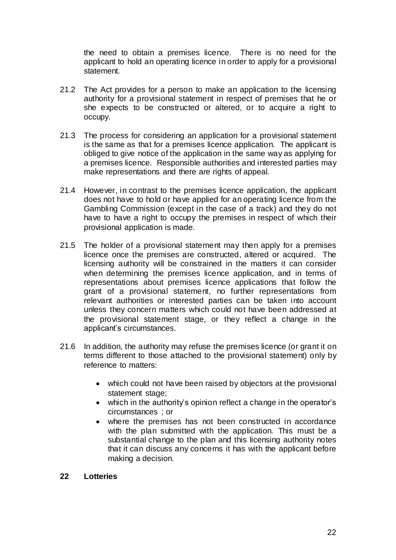the need to obtain a premises licence. There is no need for the applicant to hold an operating licence in order to apply for a provisional statement.

- 21.2 The Act provides for a person to make an application to the licensing authority for a provisional statement in respect of premises that he or she expects to be constructed or altered, or to acquire a right to occupy.
- 21.3 The process for considering an application for a provisional statement is the same as that for a premises licence application. The applicant is obliged to give notice of the application in the same way as applying for a premises licence. Responsible authorities and interested parties may make representations and there are rights of appeal.
- 21.4 However, in contrast to the premises licence application, the applicant does not have to hold or have applied for an operating licence from the Gambling Commission (except in the case of a track) and they do not have to have a right to occupy the premises in respect of which their provisional application is made.
- 21.5 The holder of a provisional statement may then apply for a premises licence once the premises are constructed, altered or acquired. The licensing authority will be constrained in the matters it can consider when determining the premises licence application, and in terms of representations about premises licence applications that follow the grant of a provisional statement, no further representations from relevant authorities or interested parties can be taken into account unless they concern matters which could not have been addressed at the provisional statement stage, or they reflect a change in the applicant's circumstances.
- 21.6 In addition, the authority may refuse the premises licence (or grant it on terms different to those attached to the provisional statement) only by reference to matters:
	- which could not have been raised by objectors at the provisional statement stage;
	- which in the authority's opinion reflect a change in the operator's circumstances ; or
	- where the premises has not been constructed in accordance with the plan submitted with the application. This must be a substantial change to the plan and this licensing authority notes that it can discuss any concerns it has with the applicant before making a decision.

#### **22 Lotteries**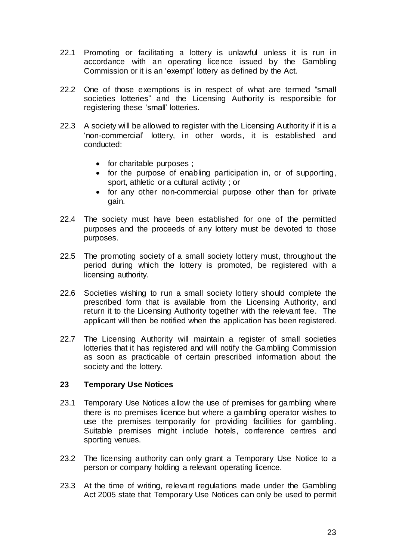- 22.1 Promoting or facilitating a lottery is unlawful unless it is run in accordance with an operating licence issued by the Gambling Commission or it is an 'exempt' lottery as defined by the Act.
- 22.2 One of those exemptions is in respect of what are termed "small societies lotteries" and the Licensing Authority is responsible for registering these 'small' lotteries.
- 22.3 A society will be allowed to register with the Licensing Authority if it is a 'non-commercial' lottery, in other words, it is established and conducted:
	- for charitable purposes ;
	- for the purpose of enabling participation in, or of supporting, sport, athletic or a cultural activity ; or
	- for any other non-commercial purpose other than for private gain.
- 22.4 The society must have been established for one of the permitted purposes and the proceeds of any lottery must be devoted to those purposes.
- 22.5 The promoting society of a small society lottery must, throughout the period during which the lottery is promoted, be registered with a licensing authority.
- 22.6 Societies wishing to run a small society lottery should complete the prescribed form that is available from the Licensing Authority, and return it to the Licensing Authority together with the relevant fee. The applicant will then be notified when the application has been registered.
- 22.7 The Licensing Authority will maintain a register of small societies lotteries that it has registered and will notify the Gambling Commission as soon as practicable of certain prescribed information about the society and the lottery.

#### **23 Temporary Use Notices**

- 23.1 Temporary Use Notices allow the use of premises for gambling where there is no premises licence but where a gambling operator wishes to use the premises temporarily for providing facilities for gambling. Suitable premises might include hotels, conference centres and sporting venues.
- 23.2 The licensing authority can only grant a Temporary Use Notice to a person or company holding a relevant operating licence.
- 23.3 At the time of writing, relevant regulations made under the Gambling Act 2005 state that Temporary Use Notices can only be used to permit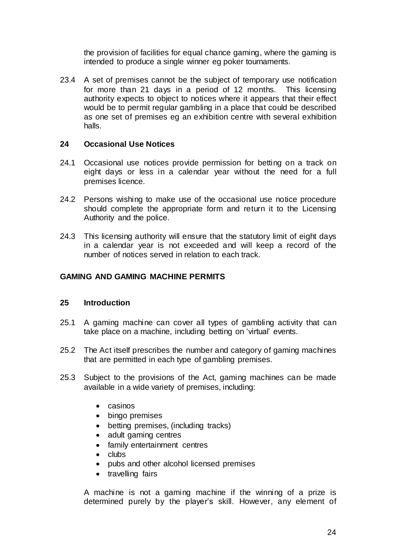the provision of facilities for equal chance gaming, where the gaming is intended to produce a single winner eg poker tournaments.

23.4 A set of premises cannot be the subject of temporary use notification for more than 21 days in a period of 12 months. This licensing authority expects to object to notices where it appears that their effect would be to permit regular gambling in a place that could be described as one set of premises eg an exhibition centre with several exhibition halls.

#### **24 Occasional Use Notices**

- 24.1 Occasional use notices provide permission for betting on a track on eight days or less in a calendar year without the need for a full premises licence.
- 24.2 Persons wishing to make use of the occasional use notice procedure should complete the appropriate form and return it to the Licensing Authority and the police.
- 24.3 This licensing authority will ensure that the statutory limit of eight days in a calendar year is not exceeded and will keep a record of the number of notices served in relation to each track.

#### **GAMING AND GAMING MACHINE PERMITS**

#### **25 Introduction**

- 25.1 A gaming machine can cover all types of gambling activity that can take place on a machine, including betting on 'virtual' events.
- 25.2 The Act itself prescribes the number and category of gaming machines that are permitted in each type of gambling premises.
- 25.3 Subject to the provisions of the Act, gaming machines can be made available in a wide variety of premises, including:
	- casinos
	- bingo premises
	- betting premises, (including tracks)
	- adult gaming centres
	- family entertainment centres
	- $\bullet$  clubs
	- pubs and other alcohol licensed premises
	- travelling fairs

A machine is not a gaming machine if the winning of a prize is determined purely by the player's skill. However, any element of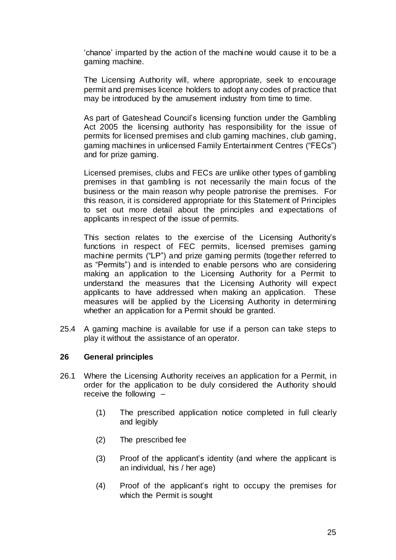'chance' imparted by the action of the machine would cause it to be a gaming machine.

The Licensing Authority will, where appropriate, seek to encourage permit and premises licence holders to adopt any codes of practice that may be introduced by the amusement industry from time to time.

As part of Gateshead Council's licensing function under the Gambling Act 2005 the licensing authority has responsibility for the issue of permits for licensed premises and club gaming machines, club gaming, gaming machines in unlicensed Family Entertainment Centres ("FECs") and for prize gaming.

Licensed premises, clubs and FECs are unlike other types of gambling premises in that gambling is not necessarily the main focus of the business or the main reason why people patronise the premises. For this reason, it is considered appropriate for this Statement of Principles to set out more detail about the principles and expectations of applicants in respect of the issue of permits.

This section relates to the exercise of the Licensing Authority's functions in respect of FEC permits, licensed premises gaming machine permits ("LP") and prize gaming permits (together referred to as "Permits") and is intended to enable persons who are considering making an application to the Licensing Authority for a Permit to understand the measures that the Licensing Authority will expect applicants to have addressed when making an application. These measures will be applied by the Licensing Authority in determining whether an application for a Permit should be granted.

25.4 A gaming machine is available for use if a person can take steps to play it without the assistance of an operator.

#### **26 General principles**

- 26.1 Where the Licensing Authority receives an application for a Permit, in order for the application to be duly considered the Authority should receive the following –
	- (1) The prescribed application notice completed in full clearly and legibly
	- (2) The prescribed fee
	- (3) Proof of the applicant's identity (and where the applicant is an individual, his / her age)
	- (4) Proof of the applicant's right to occupy the premises for which the Permit is sought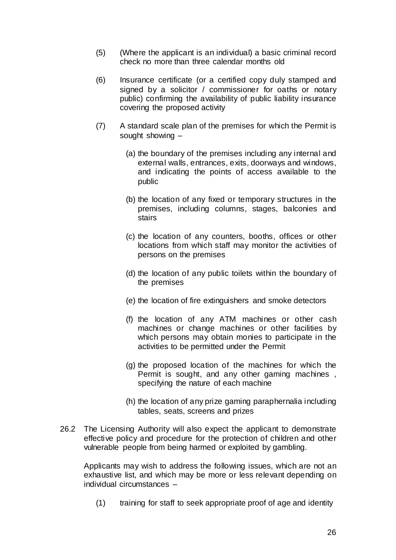- (5) (Where the applicant is an individual) a basic criminal record check no more than three calendar months old
- (6) Insurance certificate (or a certified copy duly stamped and signed by a solicitor / commissioner for oaths or notary public) confirming the availability of public liability insurance covering the proposed activity
- (7) A standard scale plan of the premises for which the Permit is sought showing –
	- (a) the boundary of the premises including any internal and external walls, entrances, exits, doorways and windows, and indicating the points of access available to the public
	- (b) the location of any fixed or temporary structures in the premises, including columns, stages, balconies and stairs
	- (c) the location of any counters, booths, offices or other locations from which staff may monitor the activities of persons on the premises
	- (d) the location of any public toilets within the boundary of the premises
	- (e) the location of fire extinguishers and smoke detectors
	- (f) the location of any ATM machines or other cash machines or change machines or other facilities by which persons may obtain monies to participate in the activities to be permitted under the Permit
	- (g) the proposed location of the machines for which the Permit is sought, and any other gaming machines , specifying the nature of each machine
	- (h) the location of any prize gaming paraphernalia including tables, seats, screens and prizes
- 26.2 The Licensing Authority will also expect the applicant to demonstrate effective policy and procedure for the protection of children and other vulnerable people from being harmed or exploited by gambling.

Applicants may wish to address the following issues, which are not an exhaustive list, and which may be more or less relevant depending on individual circumstances –

(1) training for staff to seek appropriate proof of age and identity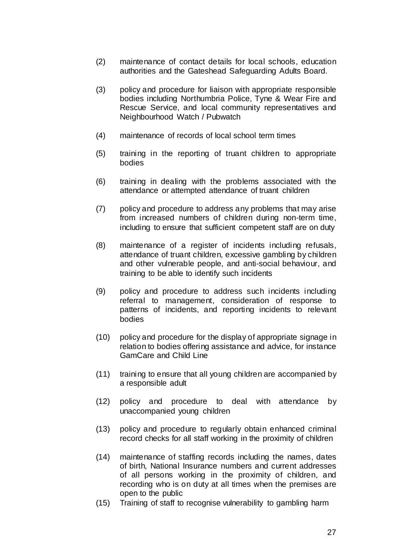- (2) maintenance of contact details for local schools, education authorities and the Gateshead Safeguarding Adults Board.
- (3) policy and procedure for liaison with appropriate responsible bodies including Northumbria Police, Tyne & Wear Fire and Rescue Service, and local community representatives and Neighbourhood Watch / Pubwatch
- (4) maintenance of records of local school term times
- (5) training in the reporting of truant children to appropriate bodies
- (6) training in dealing with the problems associated with the attendance or attempted attendance of truant children
- (7) policy and procedure to address any problems that may arise from increased numbers of children during non-term time, including to ensure that sufficient competent staff are on duty
- (8) maintenance of a register of incidents including refusals, attendance of truant children, excessive gambling by children and other vulnerable people, and anti-social behaviour, and training to be able to identify such incidents
- (9) policy and procedure to address such incidents including referral to management, consideration of response to patterns of incidents, and reporting incidents to relevant bodies
- (10) policy and procedure for the display of appropriate signage in relation to bodies offering assistance and advice, for instance GamCare and Child Line
- (11) training to ensure that all young children are accompanied by a responsible adult
- (12) policy and procedure to deal with attendance by unaccompanied young children
- (13) policy and procedure to regularly obtain enhanced criminal record checks for all staff working in the proximity of children
- (14) maintenance of staffing records including the names, dates of birth, National Insurance numbers and current addresses of all persons working in the proximity of children, and recording who is on duty at all times when the premises are open to the public
- (15) Training of staff to recognise vulnerability to gambling harm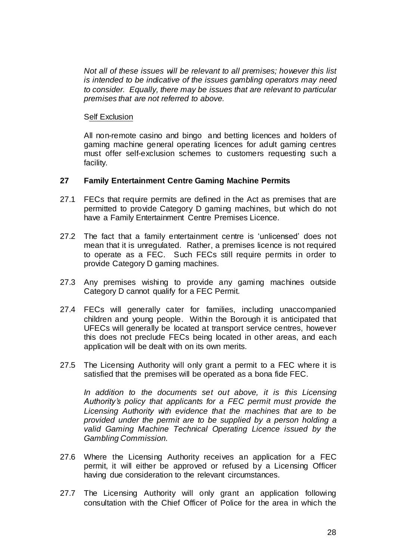*Not all of these issues will be relevant to all premises; however this list is intended to be indicative of the issues gambling operators may need to consider. Equally, there may be issues that are relevant to particular premises that are not referred to above.*

#### Self Exclusion

All non-remote casino and bingo and betting licences and holders of gaming machine general operating licences for adult gaming centres must offer self-exclusion schemes to customers requesting such a facility.

#### **27 Family Entertainment Centre Gaming Machine Permits**

- 27.1 FECs that require permits are defined in the Act as premises that are permitted to provide Category D gaming machines, but which do not have a Family Entertainment Centre Premises Licence.
- 27.2 The fact that a family entertainment centre is 'unlicensed' does not mean that it is unregulated. Rather, a premises licence is not required to operate as a FEC. Such FECs still require permits in order to provide Category D gaming machines.
- 27.3 Any premises wishing to provide any gaming machines outside Category D cannot qualify for a FEC Permit.
- 27.4 FECs will generally cater for families, including unaccompanied children and young people. Within the Borough it is anticipated that UFECs will generally be located at transport service centres, however this does not preclude FECs being located in other areas, and each application will be dealt with on its own merits.
- 27.5 The Licensing Authority will only grant a permit to a FEC where it is satisfied that the premises will be operated as a bona fide FEC.

*In addition to the documents set out above, it is this Licensing Authority's policy that applicants for a FEC permit must provide the Licensing Authority with evidence that the machines that are to be provided under the permit are to be supplied by a person holding a valid Gaming Machine Technical Operating Licence issued by the Gambling Commission.*

- 27.6 Where the Licensing Authority receives an application for a FEC permit, it will either be approved or refused by a Licensing Officer having due consideration to the relevant circumstances.
- 27.7 The Licensing Authority will only grant an application following consultation with the Chief Officer of Police for the area in which the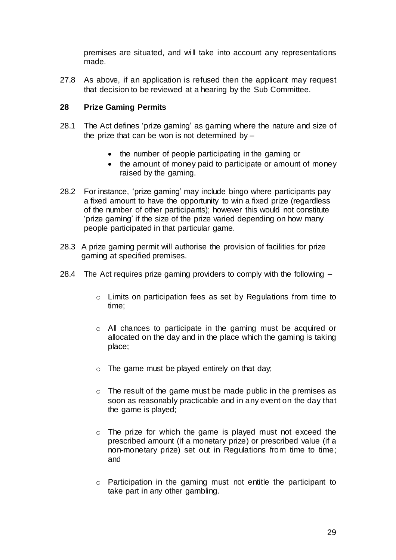premises are situated, and will take into account any representations made.

27.8 As above, if an application is refused then the applicant may request that decision to be reviewed at a hearing by the Sub Committee.

# **28 Prize Gaming Permits**

- 28.1 The Act defines 'prize gaming' as gaming where the nature and size of the prize that can be won is not determined by  $-$ 
	- the number of people participating in the gaming or
	- the amount of money paid to participate or amount of money raised by the gaming.
- 28.2 For instance, 'prize gaming' may include bingo where participants pay a fixed amount to have the opportunity to win a fixed prize (regardless of the number of other participants); however this would not constitute 'prize gaming' if the size of the prize varied depending on how many people participated in that particular game.
- 28.3 A prize gaming permit will authorise the provision of facilities for prize gaming at specified premises.
- 28.4 The Act requires prize gaming providers to comply with the following
	- o Limits on participation fees as set by Regulations from time to time;
	- o All chances to participate in the gaming must be acquired or allocated on the day and in the place which the gaming is taking place;
	- $\circ$  The game must be played entirely on that day;
	- o The result of the game must be made public in the premises as soon as reasonably practicable and in any event on the day that the game is played;
	- o The prize for which the game is played must not exceed the prescribed amount (if a monetary prize) or prescribed value (if a non-monetary prize) set out in Regulations from time to time; and
	- o Participation in the gaming must not entitle the participant to take part in any other gambling.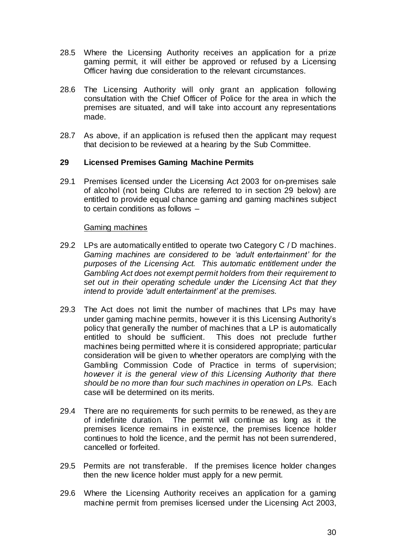- 28.5 Where the Licensing Authority receives an application for a prize gaming permit, it will either be approved or refused by a Licensing Officer having due consideration to the relevant circumstances.
- 28.6 The Licensing Authority will only grant an application following consultation with the Chief Officer of Police for the area in which the premises are situated, and will take into account any representations made.
- 28.7 As above, if an application is refused then the applicant may request that decision to be reviewed at a hearing by the Sub Committee.

#### **29 Licensed Premises Gaming Machine Permits**

29.1 Premises licensed under the Licensing Act 2003 for on-premises sale of alcohol (not being Clubs are referred to in section 29 below) are entitled to provide equal chance gaming and gaming machines subject to certain conditions as follows –

#### Gaming machines

- 29.2 LPs are automatically entitled to operate two Category C / D machines. *Gaming machines are considered to be 'adult entertainment' for the purposes of the Licensing Act. This automatic entitlement under the Gambling Act does not exempt permit holders from their requirement to set out in their operating schedule under the Licensing Act that they intend to provide 'adult entertainment' at the premises.*
- 29.3 The Act does not limit the number of machines that LPs may have under gaming machine permits, however it is this Licensing Authority's policy that generally the number of machines that a LP is automatically entitled to should be sufficient. This does not preclude further machines being permitted where it is considered appropriate; particular consideration will be given to whether operators are complying with the Gambling Commission Code of Practice in terms of supervision; *however it is the general view of this Licensing Authority that there should be no more than four such machines in operation on LPs.* Each case will be determined on its merits.
- 29.4 There are no requirements for such permits to be renewed, as they are of indefinite duration. The permit will continue as long as it the premises licence remains in existence, the premises licence holder continues to hold the licence, and the permit has not been surrendered, cancelled or forfeited.
- 29.5 Permits are not transferable. If the premises licence holder changes then the new licence holder must apply for a new permit.
- 29.6 Where the Licensing Authority receives an application for a gaming machine permit from premises licensed under the Licensing Act 2003,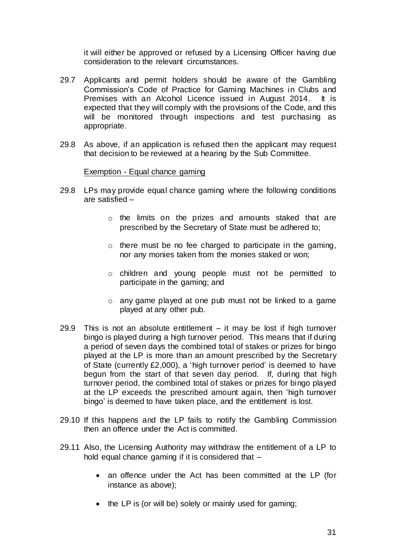it will either be approved or refused by a Licensing Officer having due consideration to the relevant circumstances.

- 29.7 Applicants and permit holders should be aware of the Gambling Commission's Code of Practice for Gaming Machines in Clubs and Premises with an Alcohol Licence issued in August 2014. It is expected that they will comply with the provisions of the Code, and this will be monitored through inspections and test purchasing as appropriate.
- 29.8 As above, if an application is refused then the applicant may request that decision to be reviewed at a hearing by the Sub Committee.

#### Exemption - Equal chance gaming

- 29.8 LPs may provide equal chance gaming where the following conditions are satisfied –
	- o the limits on the prizes and amounts staked that are prescribed by the Secretary of State must be adhered to;
	- o there must be no fee charged to participate in the gaming, nor any monies taken from the monies staked or won;
	- o children and young people must not be permitted to participate in the gaming; and
	- o any game played at one pub must not be linked to a game played at any other pub.
- 29.9 This is not an absolute entitlement it may be lost if high turnover bingo is played during a high turnover period. This means that if during a period of seven days the combined total of stakes or prizes for bingo played at the LP is more than an amount prescribed by the Secretary of State (currently £2,000), a 'high turnover period' is deemed to have begun from the start of that seven day period. If, during that high turnover period, the combined total of stakes or prizes for bingo played at the LP exceeds the prescribed amount again, then 'high turnover bingo' is deemed to have taken place, and the entitlement is lost.
- 29.10 If this happens and the LP fails to notify the Gambling Commission then an offence under the Act is committed.
- 29.11 Also, the Licensing Authority may withdraw the entitlement of a LP to hold equal chance gaming if it is considered that -
	- an offence under the Act has been committed at the LP (for instance as above);
	- the LP is (or will be) solely or mainly used for gaming;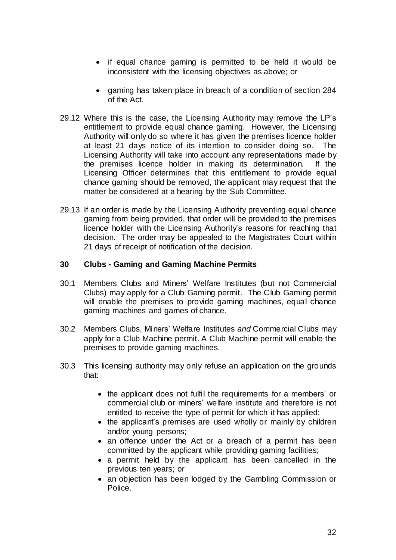- if equal chance gaming is permitted to be held it would be inconsistent with the licensing objectives as above; or
- gaming has taken place in breach of a condition of section 284 of the Act.
- 29.12 Where this is the case, the Licensing Authority may remove the LP's entitlement to provide equal chance gaming. However, the Licensing Authority will only do so where it has given the premises licence holder at least 21 days notice of its intention to consider doing so. The Licensing Authority will take into account any representations made by the premises licence holder in making its determination. If the Licensing Officer determines that this entitlement to provide equal chance gaming should be removed, the applicant may request that the matter be considered at a hearing by the Sub Committee.
- 29.13 If an order is made by the Licensing Authority preventing equal chance gaming from being provided, that order will be provided to the premises licence holder with the Licensing Authority's reasons for reaching that decision. The order may be appealed to the Magistrates Court within 21 days of receipt of notification of the decision.

#### **30 Clubs - Gaming and Gaming Machine Permits**

- 30.1 Members Clubs and Miners' Welfare Institutes (but not Commercial Clubs) may apply for a Club Gaming permit. The Club Gaming permit will enable the premises to provide gaming machines, equal chance gaming machines and games of chance.
- 30.2 Members Clubs, Miners' Welfare Institutes *and* Commercial Clubs may apply for a Club Machine permit. A Club Machine permit will enable the premises to provide gaming machines.
- 30.3 This licensing authority may only refuse an application on the grounds that:
	- the applicant does not fulfil the requirements for a members' or commercial club or miners' welfare institute and therefore is not entitled to receive the type of permit for which it has applied;
	- the applicant's premises are used wholly or mainly by children and/or young persons;
	- an offence under the Act or a breach of a permit has been committed by the applicant while providing gaming facilities;
	- a permit held by the applicant has been cancelled in the previous ten years; or
	- an objection has been lodged by the Gambling Commission or Police.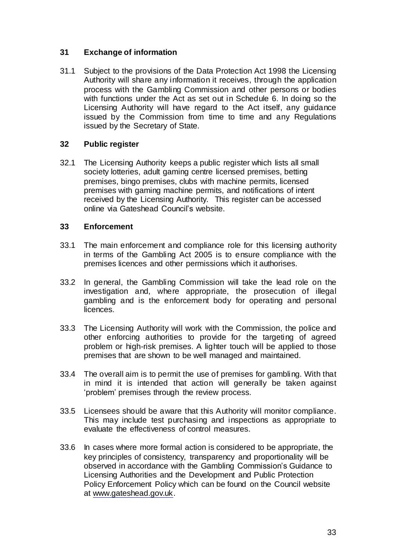# **31 Exchange of information**

31.1 Subject to the provisions of the Data Protection Act 1998 the Licensing Authority will share any information it receives, through the application process with the Gambling Commission and other persons or bodies with functions under the Act as set out in Schedule 6. In doing so the Licensing Authority will have regard to the Act itself, any guidance issued by the Commission from time to time and any Regulations issued by the Secretary of State.

# **32 Public register**

32.1 The Licensing Authority keeps a public register which lists all small society lotteries, adult gaming centre licensed premises, betting premises, bingo premises, clubs with machine permits, licensed premises with gaming machine permits, and notifications of intent received by the Licensing Authority. This register can be accessed online via Gateshead Council's website.

# **33 Enforcement**

- 33.1 The main enforcement and compliance role for this licensing authority in terms of the Gambling Act 2005 is to ensure compliance with the premises licences and other permissions which it authorises.
- 33.2 In general, the Gambling Commission will take the lead role on the investigation and, where appropriate, the prosecution of illegal gambling and is the enforcement body for operating and personal licences.
- 33.3 The Licensing Authority will work with the Commission, the police and other enforcing authorities to provide for the targeting of agreed problem or high-risk premises. A lighter touch will be applied to those premises that are shown to be well managed and maintained.
- 33.4 The overall aim is to permit the use of premises for gambling. With that in mind it is intended that action will generally be taken against 'problem' premises through the review process.
- 33.5 Licensees should be aware that this Authority will monitor compliance. This may include test purchasing and inspections as appropriate to evaluate the effectiveness of control measures.
- 33.6 In cases where more formal action is considered to be appropriate, the key principles of consistency, transparency and proportionality will be observed in accordance with the Gambling Commission's Guidance to Licensing Authorities and the Development and Public Protection Policy Enforcement Policy which can be found on the Council website at [www.gateshead.gov.uk.](http://www.gateshead.gov.uk/)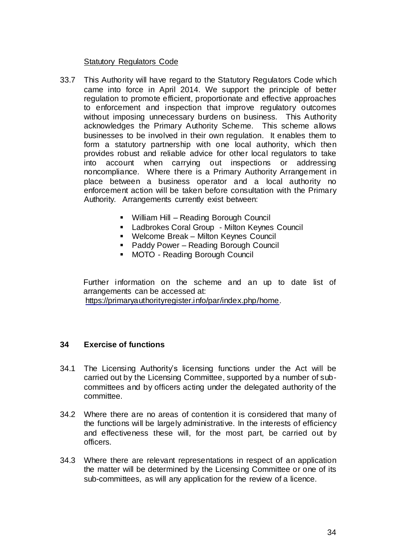#### Statutory Regulators Code

- 33.7 This Authority will have regard to the Statutory Regulators Code which came into force in April 2014. We support the principle of better regulation to promote efficient, proportionate and effective approaches to enforcement and inspection that improve regulatory outcomes without imposing unnecessary burdens on business. This Authority acknowledges the Primary Authority Scheme. This scheme allows businesses to be involved in their own regulation. It enables them to form a statutory partnership with one local authority, which then provides robust and reliable advice for other local regulators to take into account when carrying out inspections or addressing noncompliance. Where there is a Primary Authority Arrangement in place between a business operator and a local authority no enforcement action will be taken before consultation with the Primary Authority. Arrangements currently exist between:
	- William Hill Reading Borough Council
	- **Example: Ladbrokes Coral Group Milton Keynes Council**
	- Welcome Break Milton Keynes Council
	- Paddy Power Reading Borough Council
	- **MOTO Reading Borough Council**

Further information on the scheme and an up to date list of arrangements can be accessed at:

[https://primaryauthorityregister.info/par/index.php/home.](https://primaryauthorityregister.info/par/index.php/home)

#### **34 Exercise of functions**

- 34.1 The Licensing Authority's licensing functions under the Act will be carried out by the Licensing Committee, supported by a number of subcommittees and by officers acting under the delegated authority of the committee.
- 34.2 Where there are no areas of contention it is considered that many of the functions will be largely administrative. In the interests of efficiency and effectiveness these will, for the most part, be carried out by officers.
- 34.3 Where there are relevant representations in respect of an application the matter will be determined by the Licensing Committee or one of its sub-committees, as will any application for the review of a licence.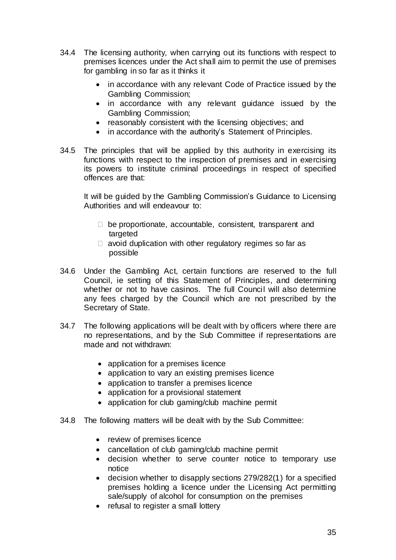- 34.4 The licensing authority, when carrying out its functions with respect to premises licences under the Act shall aim to permit the use of premises for gambling in so far as it thinks it
	- in accordance with any relevant Code of Practice issued by the Gambling Commission;
	- in accordance with any relevant guidance issued by the Gambling Commission;
	- reasonably consistent with the licensing objectives; and
	- in accordance with the authority's Statement of Principles.
- 34.5 The principles that will be applied by this authority in exercising its functions with respect to the inspection of premises and in exercising its powers to institute criminal proceedings in respect of specified offences are that:

It will be guided by the Gambling Commission's Guidance to Licensing Authorities and will endeavour to:

- $\Box$  be proportionate, accountable, consistent, transparent and targeted
- $\Box$  avoid duplication with other regulatory regimes so far as possible
- 34.6 Under the Gambling Act, certain functions are reserved to the full Council, ie setting of this Statement of Principles, and determining whether or not to have casinos. The full Council will also determine any fees charged by the Council which are not prescribed by the Secretary of State.
- 34.7 The following applications will be dealt with by officers where there are no representations, and by the Sub Committee if representations are made and not withdrawn:
	- application for a premises licence
	- application to vary an existing premises licence
	- application to transfer a premises licence
	- application for a provisional statement
	- application for club gaming/club machine permit
- 34.8 The following matters will be dealt with by the Sub Committee:
	- review of premises licence
	- cancellation of club gaming/club machine permit
	- decision whether to serve counter notice to temporary use notice
	- decision whether to disapply sections 279/282(1) for a specified premises holding a licence under the Licensing Act permitting sale/supply of alcohol for consumption on the premises
	- refusal to register a small lottery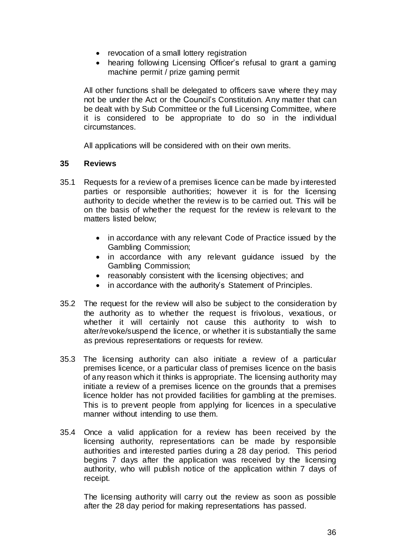- revocation of a small lottery registration
- hearing following Licensing Officer's refusal to grant a gaming machine permit / prize gaming permit

All other functions shall be delegated to officers save where they may not be under the Act or the Council's Constitution. Any matter that can be dealt with by Sub Committee or the full Licensing Committee, where it is considered to be appropriate to do so in the individual circumstances.

All applications will be considered with on their own merits.

#### **35 Reviews**

- 35.1 Requests for a review of a premises licence can be made by interested parties or responsible authorities; however it is for the licensing authority to decide whether the review is to be carried out. This will be on the basis of whether the request for the review is relevant to the matters listed below;
	- in accordance with any relevant Code of Practice issued by the Gambling Commission;
	- in accordance with any relevant guidance issued by the Gambling Commission;
	- reasonably consistent with the licensing objectives; and
	- in accordance with the authority's Statement of Principles.
- 35.2 The request for the review will also be subject to the consideration by the authority as to whether the request is frivolous, vexatious, or whether it will certainly not cause this authority to wish to alter/revoke/suspend the licence, or whether it is substantially the same as previous representations or requests for review.
- 35.3 The licensing authority can also initiate a review of a particular premises licence, or a particular class of premises licence on the basis of any reason which it thinks is appropriate. The licensing authority may initiate a review of a premises licence on the grounds that a premises licence holder has not provided facilities for gambling at the premises. This is to prevent people from applying for licences in a speculative manner without intending to use them.
- 35.4 Once a valid application for a review has been received by the licensing authority, representations can be made by responsible authorities and interested parties during a 28 day period. This period begins 7 days after the application was received by the licensing authority, who will publish notice of the application within 7 days of receipt.

The licensing authority will carry out the review as soon as possible after the 28 day period for making representations has passed.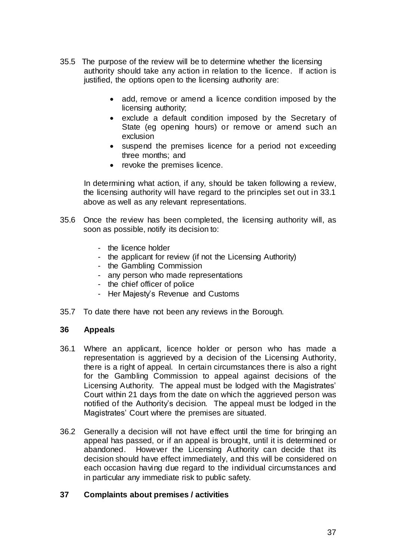- 35.5 The purpose of the review will be to determine whether the licensing authority should take any action in relation to the licence. If action is justified, the options open to the licensing authority are:
	- add, remove or amend a licence condition imposed by the licensing authority;
	- exclude a default condition imposed by the Secretary of State (eg opening hours) or remove or amend such an exclusion
	- suspend the premises licence for a period not exceeding three months; and
	- revoke the premises licence.

In determining what action, if any, should be taken following a review, the licensing authority will have regard to the principles set out in 33.1 above as well as any relevant representations.

- 35.6 Once the review has been completed, the licensing authority will, as soon as possible, notify its decision to:
	- the licence holder
	- the applicant for review (if not the Licensing Authority)
	- the Gambling Commission
	- any person who made representations
	- the chief officer of police
	- Her Majesty's Revenue and Customs
- 35.7 To date there have not been any reviews in the Borough.

#### **36 Appeals**

- 36.1 Where an applicant, licence holder or person who has made a representation is aggrieved by a decision of the Licensing Authority, there is a right of appeal. In certain circumstances there is also a right for the Gambling Commission to appeal against decisions of the Licensing Authority. The appeal must be lodged with the Magistrates' Court within 21 days from the date on which the aggrieved person was notified of the Authority's decision. The appeal must be lodged in the Magistrates' Court where the premises are situated.
- 36.2 Generally a decision will not have effect until the time for bringing an appeal has passed, or if an appeal is brought, until it is determined or abandoned. However the Licensing Authority can decide that its decision should have effect immediately, and this will be considered on each occasion having due regard to the individual circumstances and in particular any immediate risk to public safety.

#### **37 Complaints about premises / activities**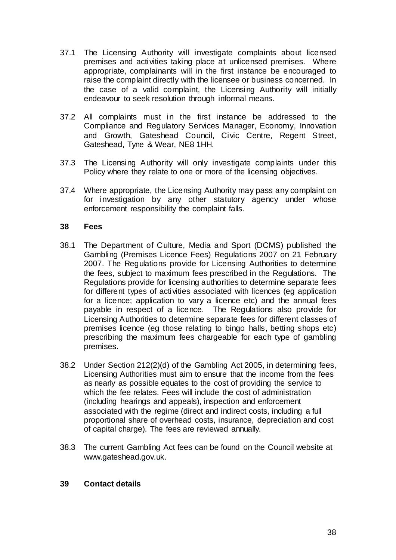- 37.1 The Licensing Authority will investigate complaints about licensed premises and activities taking place at unlicensed premises. Where appropriate, complainants will in the first instance be encouraged to raise the complaint directly with the licensee or business concerned. In the case of a valid complaint, the Licensing Authority will initially endeavour to seek resolution through informal means.
- 37.2 All complaints must in the first instance be addressed to the Compliance and Regulatory Services Manager, Economy, Innovation and Growth, Gateshead Council, Civic Centre, Regent Street, Gateshead, Tyne & Wear, NE8 1HH.
- 37.3 The Licensing Authority will only investigate complaints under this Policy where they relate to one or more of the licensing objectives.
- 37.4 Where appropriate, the Licensing Authority may pass any complaint on for investigation by any other statutory agency under whose enforcement responsibility the complaint falls.

#### **38 Fees**

- 38.1 The Department of Culture, Media and Sport (DCMS) published the Gambling (Premises Licence Fees) Regulations 2007 on 21 February 2007. The Regulations provide for Licensing Authorities to determine the fees, subject to maximum fees prescribed in the Regulations. The Regulations provide for licensing authorities to determine separate fees for different types of activities associated with licences (eg application for a licence; application to vary a licence etc) and the annual fees payable in respect of a licence. The Regulations also provide for Licensing Authorities to determine separate fees for different classes of premises licence (eg those relating to bingo halls, betting shops etc) prescribing the maximum fees chargeable for each type of gambling premises.
- 38.2 Under Section 212(2)(d) of the Gambling Act 2005, in determining fees, Licensing Authorities must aim to ensure that the income from the fees as nearly as possible equates to the cost of providing the service to which the fee relates. Fees will include the cost of administration (including hearings and appeals), inspection and enforcement associated with the regime (direct and indirect costs, including a full proportional share of overhead costs, insurance, depreciation and cost of capital charge). The fees are reviewed annually.
- 38.3 The current Gambling Act fees can be found on the Council website at [www.gateshead.gov.uk.](http://www.gateshead.gov.uk/)

#### **39 Contact details**